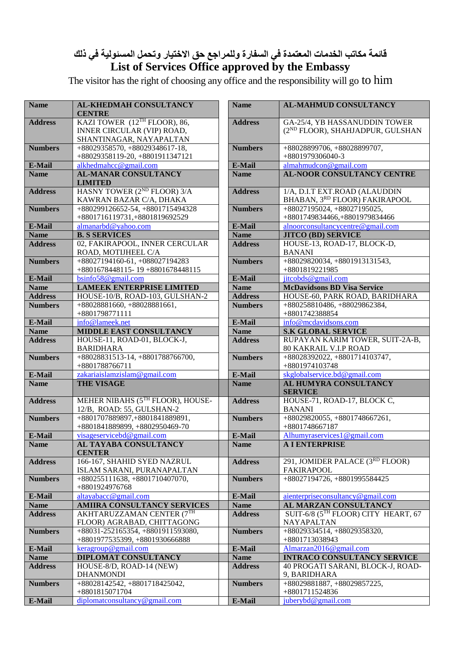## **قائمة مكاتب الخدمات المعتمدة في السفارة وللمراجع حق االختيار وتحمل المسئولية في ذلك List of Services Office approved by the Embassy**

The visitor has the right of choosing any office and the responsibility will go to him

| <b>Name</b>    | AL-KHEDMAH CONSULTANCY<br><b>CENTRE</b>                  | <b>Name</b>    | <b>AL-MAHMUD CONSULTANCY</b>                                 |
|----------------|----------------------------------------------------------|----------------|--------------------------------------------------------------|
| <b>Address</b> | KAZI TOWER (12TH FLOOR), 86,                             | <b>Address</b> | GA-25/4, YB HASSANUDDIN TOWER                                |
|                | INNER CIRCULAR (VIP) ROAD,                               |                | (2 <sup>ND</sup> FLOOR), SHAHJADPUR, GULSHAN                 |
|                | SHANTINAGAR, NAYAPALTAN                                  |                |                                                              |
| <b>Numbers</b> | +88029358570, +88029348617-18,                           | <b>Numbers</b> | $+88028899706, +88028899707,$                                |
|                | +88029358119-20, +8801911347121                          |                | +8801979306040-3                                             |
| E-Mail         | alkhedmahcc@gmail.com                                    | E-Mail         | almahmudcon@gmail.com                                        |
| <b>Name</b>    | <b>AL-MANAR CONSULTANCY</b>                              | <b>Name</b>    | <b>AL-NOOR CONSULTANCY CENTRE</b>                            |
|                | <b>LIMITED</b>                                           |                |                                                              |
| <b>Address</b> | HASNY TOWER (2 <sup>ND</sup> FLOOR) 3/A                  | <b>Address</b> | 1/A, D.I.T EXT.ROAD (ALAUDDIN                                |
|                | KAWRAN BAZAR C/A, DHAKA                                  |                | BHABAN, 3RD FLOOR) FAKIRAPOOL                                |
| <b>Numbers</b> | +880299126652-54, +8801715494328                         | <b>Numbers</b> | $+88027195024, +88027195025,$                                |
|                | +8801716119731,+8801819692529                            |                | +8801749834466,+8801979834466                                |
| E-Mail         | almanarbd@yahoo.com                                      | E-Mail         | alnoorconsultancycentre@gmail.com                            |
| <b>Name</b>    | <b>B. S SERVICES</b>                                     | <b>Name</b>    | <b>JITCO (BD) SERVICE</b>                                    |
| <b>Address</b> | 02, FAKIRAPOOL, INNER CERCULAR                           | <b>Address</b> | HOUSE-13, ROAD-17, BLOCK-D,                                  |
| <b>Numbers</b> | ROAD, MOTIJHEEL C/A<br>+88027194160-61, +088027194283    | <b>Numbers</b> | <b>BANANI</b><br>+88029820034, +8801913131543,               |
|                | +8801678448115-19+8801678448115                          |                | +8801819221985                                               |
| E-Mail         | bsinfo58@gmail.com                                       | E-Mail         | jitcobds@gmail.com                                           |
| <b>Name</b>    | <b>LAMEEK ENTERPRISE LIMITED</b>                         | <b>Name</b>    | <b>McDavidsons BD Visa Service</b>                           |
| <b>Address</b> | HOUSE-10/B, ROAD-103, GULSHAN-2                          | <b>Address</b> | HOUSE-60, PARK ROAD, BARIDHARA                               |
| <b>Numbers</b> | $+88028881660, +88028881661,$                            | <b>Numbers</b> | +880258810486, +88029862384,                                 |
|                | +8801798771111                                           |                | +8801742388854                                               |
| E-Mail         | info@lameek.net                                          | E-Mail         | info@mcdavidsons.com                                         |
| <b>Name</b>    | MIDDLE EAST CONSULTANCY                                  | <b>Name</b>    | <b>S.K GLOBAL SERVICE</b>                                    |
| <b>Address</b> | HOUSE-11, ROAD-01, BLOCK-J,                              | <b>Address</b> | RUPAYAN KARIM TOWER, SUIT-2A-B,                              |
|                | <b>BARIDHARA</b>                                         |                | <b>80 KAKRAIL V.I.P ROAD</b>                                 |
| <b>Numbers</b> | $+88028831513-14, +8801788766700,$                       | <b>Numbers</b> | +88028392022, +8801714103747,                                |
|                | +8801788766711                                           |                | +8801974103748                                               |
| E-Mail         | zakariaislamzislam@gmail.com                             | E-Mail         | skglobalservice.bd@gmail.com                                 |
| <b>Name</b>    | <b>THE VISAGE</b>                                        | <b>Name</b>    | AL HUMYRA CONSULTANCY<br><b>SERVICE</b>                      |
| <b>Address</b> | MEHER NIBAHS (5TH FLOOR), HOUSE-                         | <b>Address</b> | HOUSE-71, ROAD-17, BLOCK C,                                  |
|                | 12/B, ROAD: 55, GULSHAN-2                                |                | <b>BANANI</b>                                                |
| <b>Numbers</b> | +8801707889897,+8801841889891,                           | <b>Numbers</b> | $+88029820055, +8801748667261,$                              |
|                | +8801841889899, +8802950469-70                           |                | +8801748667187                                               |
| E-Mail         | visageservicebd@gmail.com                                | E-Mail         | Alhumyraservices1@gmail.com                                  |
| <b>Name</b>    | AL TAYABA CONSULTANCY<br><b>CENTER</b>                   | <b>Name</b>    | A I ENTERPRISE                                               |
| <b>Address</b> | 166-167, SHAHID SYED NAZRUL                              | <b>Address</b> | 291, JOMIDER PALACE (3RD FLOOR)                              |
|                | ISLAM SARANI, PURANAPALTAN                               |                | <b>FAKIRAPOOL</b>                                            |
| <b>Numbers</b> | $+880255111638, +8801710407070,$                         | <b>Numbers</b> | +88027194726, +8801995584425                                 |
|                | +8801924976768                                           |                |                                                              |
| E-Mail         | altayabacc@gmail.com                                     | E-Mail         | aienterpriseconsultancy@gmail.com                            |
| <b>Name</b>    | AMIIRA CONSULTANCY SERVICES<br>AKHTARUZZAMAN CENTER (7TH | <b>Name</b>    | AL MARZAN CONSULTANCY<br>SUIT-6/8 (5TH FLOOR) CITY HEART, 67 |
| <b>Address</b> | FLOOR) AGRABAD, CHITTAGONG                               | <b>Address</b> | NAYAPALTAN                                                   |
| <b>Numbers</b> | +88031-252165354, +8801911593080,                        | <b>Numbers</b> | +88029334514, +88029358320,                                  |
|                | +8801977535399, +8801930666888                           |                | +8801713038943                                               |
| E-Mail         | $\frac{\text{keragroup@gmail.com}}{}$                    | E-Mail         | Almarzan2016@gmail.com                                       |
| <b>Name</b>    | DIPLOMAT CONSULTANCY                                     | <b>Name</b>    | <b>INTRACO CONSULTANCY SERVICE</b>                           |
| <b>Address</b> | HOUSE-8/D, ROAD-14 (NEW)                                 | <b>Address</b> | 40 PROGATI SARANI, BLOCK-J, ROAD-                            |
|                | <b>DHANMONDI</b>                                         |                | 9, BARIDHARA                                                 |
| <b>Numbers</b> | +88028142542, +8801718425042,                            | <b>Numbers</b> | +88029881887, +88029857225,                                  |
|                | +8801815071704                                           |                | +8801711524836                                               |
| E-Mail         | diplomatconsultancy@gmail.com                            | E-Mail         | juberybd@gmail.com                                           |